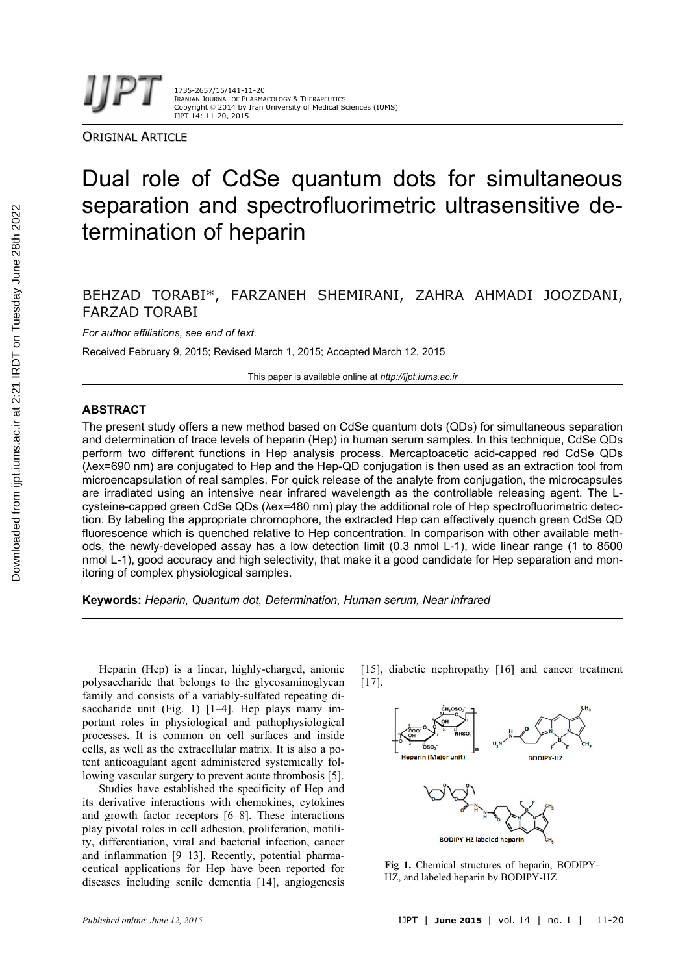

ORIGINAL ARTICLE

# Dual role of CdSe quantum dots for simultaneous separation and spectrofluorimetric ultrasensitive determination of heparin

# BEHZAD TORABI\*, FARZANEH SHEMIRANI, ZAHRA AHMADI JOOZDANI, FARZAD TORABI

*For author affiliations, see end of text.* 

Received February 9, 2015; Revised March 1, 2015; Accepted March 12, 2015

This paper is available online at *http://ijpt.iums.ac.ir*

### **ABSTRACT**

The present study offers a new method based on CdSe quantum dots (QDs) for simultaneous separation and determination of trace levels of heparin (Hep) in human serum samples. In this technique, CdSe QDs perform two different functions in Hep analysis process. Mercaptoacetic acid-capped red CdSe QDs (λex=690 nm) are conjugated to Hep and the Hep-QD conjugation is then used as an extraction tool from microencapsulation of real samples. For quick release of the analyte from conjugation, the microcapsules are irradiated using an intensive near infrared wavelength as the controllable releasing agent. The Lcysteine-capped green CdSe QDs (λex=480 nm) play the additional role of Hep spectrofluorimetric detection. By labeling the appropriate chromophore, the extracted Hep can effectively quench green CdSe QD fluorescence which is quenched relative to Hep concentration. In comparison with other available methods, the newly-developed assay has a low detection limit (0.3 nmol L-1), wide linear range (1 to 8500 nmol L-1), good accuracy and high selectivity, that make it a good candidate for Hep separation and monitoring of complex physiological samples.

**Keywords:** *Heparin, Quantum dot, Determination, Human serum, Near infrared* 

Heparin (Hep) is a linear, highly-charged, anionic polysaccharide that belongs to the glycosaminoglycan family and consists of a variably-sulfated repeating disaccharide unit (Fig. 1) [1-4]. Hep plays many important roles in physiological and pathophysiological processes. It is common on cell surfaces and inside cells, as well as the extracellular matrix. It is also a potent anticoagulant agent administered systemically following vascular surgery to prevent acute thrombosis [5].

Studies have established the specificity of Hep and its derivative interactions with chemokines, cytokines and growth factor receptors [6–8]. These interactions play pivotal roles in cell adhesion, proliferation, motility, differentiation, viral and bacterial infection, cancer and inflammation [9–13]. Recently, potential pharmaceutical applications for Hep have been reported for diseases including senile dementia [14], angiogenesis [15], diabetic nephropathy [16] and cancer treatment [17].



**Fig 1.** Chemical structures of heparin, BODIPY-HZ, and labeled heparin by BODIPY-HZ.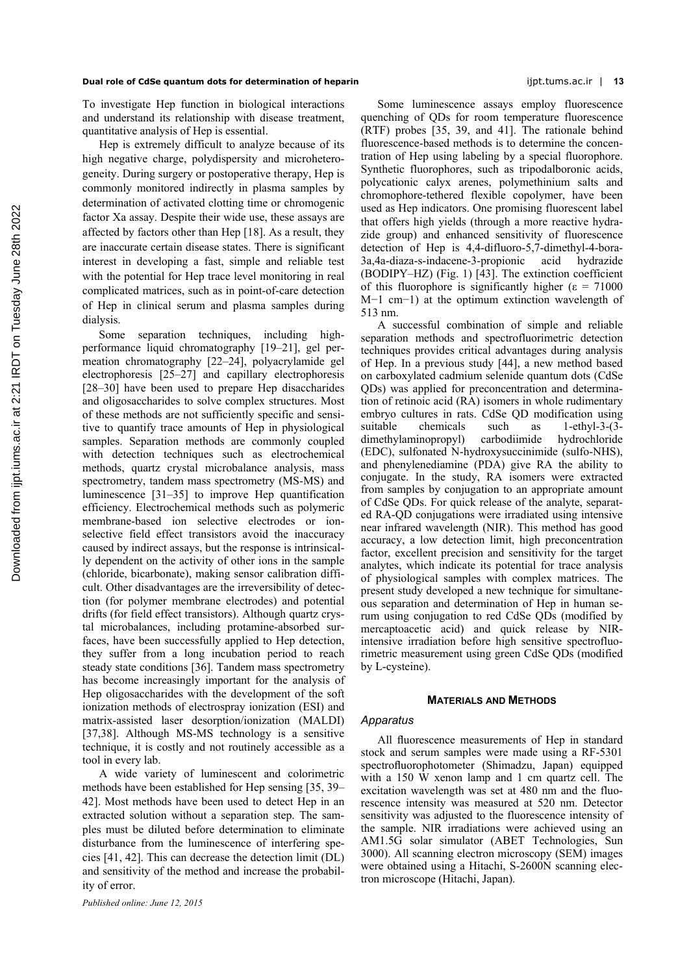#### **Dual role of CdSe quantum dots for determination of heparin** ijpt.tums.ac.ir | **13**

To investigate Hep function in biological interactions and understand its relationship with disease treatment, quantitative analysis of Hep is essential.

Hep is extremely difficult to analyze because of its high negative charge, polydispersity and microheterogeneity. During surgery or postoperative therapy, Hep is commonly monitored indirectly in plasma samples by determination of activated clotting time or chromogenic factor Xa assay. Despite their wide use, these assays are affected by factors other than Hep [18]. As a result, they are inaccurate certain disease states. There is significant interest in developing a fast, simple and reliable test with the potential for Hep trace level monitoring in real complicated matrices, such as in point-of-care detection of Hep in clinical serum and plasma samples during dialysis.

Some separation techniques, including highperformance liquid chromatography [19–21], gel permeation chromatography [22–24], polyacrylamide gel electrophoresis [25–27] and capillary electrophoresis [28–30] have been used to prepare Hep disaccharides and oligosaccharides to solve complex structures. Most of these methods are not sufficiently specific and sensitive to quantify trace amounts of Hep in physiological samples. Separation methods are commonly coupled with detection techniques such as electrochemical methods, quartz crystal microbalance analysis, mass spectrometry, tandem mass spectrometry (MS-MS) and luminescence [31–35] to improve Hep quantification efficiency. Electrochemical methods such as polymeric membrane-based ion selective electrodes or ionselective field effect transistors avoid the inaccuracy caused by indirect assays, but the response is intrinsically dependent on the activity of other ions in the sample (chloride, bicarbonate), making sensor calibration difficult. Other disadvantages are the irreversibility of detection (for polymer membrane electrodes) and potential drifts (for field effect transistors). Although quartz crystal microbalances, including protamine-absorbed surfaces, have been successfully applied to Hep detection, they suffer from a long incubation period to reach steady state conditions [36]. Tandem mass spectrometry has become increasingly important for the analysis of Hep oligosaccharides with the development of the soft ionization methods of electrospray ionization (ESI) and matrix-assisted laser desorption/ionization (MALDI) [37,38]. Although MS-MS technology is a sensitive technique, it is costly and not routinely accessible as a tool in every lab.

A wide variety of luminescent and colorimetric methods have been established for Hep sensing [35, 39– 42]. Most methods have been used to detect Hep in an extracted solution without a separation step. The samples must be diluted before determination to eliminate disturbance from the luminescence of interfering species [41, 42]. This can decrease the detection limit (DL) and sensitivity of the method and increase the probability of error.

Some luminescence assays employ fluorescence quenching of QDs for room temperature fluorescence (RTF) probes [35, 39, and 41]. The rationale behind fluorescence-based methods is to determine the concentration of Hep using labeling by a special fluorophore. Synthetic fluorophores, such as tripodalboronic acids, polycationic calyx arenes, polymethinium salts and chromophore-tethered flexible copolymer, have been used as Hep indicators. One promising fluorescent label that offers high yields (through a more reactive hydrazide group) and enhanced sensitivity of fluorescence detection of Hep is 4,4-difluoro-5,7-dimethyl-4-bora-3a,4a-diaza-s-indacene-3-propionic acid hydrazide (BODIPY–HZ) (Fig. 1) [43]. The extinction coefficient of this fluorophore is significantly higher ( $\varepsilon = 71000$ M−1 cm−1) at the optimum extinction wavelength of 513 nm.

A successful combination of simple and reliable separation methods and spectrofluorimetric detection techniques provides critical advantages during analysis of Hep. In a previous study [44], a new method based on carboxylated cadmium selenide quantum dots (CdSe QDs) was applied for preconcentration and determination of retinoic acid (RA) isomers in whole rudimentary embryo cultures in rats. CdSe QD modification using suitable chemicals such as 1-ethyl-3-(3 dimethylaminopropyl) carbodiimide hydrochloride (EDC), sulfonated N-hydroxysuccinimide (sulfo-NHS), and phenylenediamine (PDA) give RA the ability to conjugate. In the study, RA isomers were extracted from samples by conjugation to an appropriate amount of CdSe QDs. For quick release of the analyte, separated RA-QD conjugations were irradiated using intensive near infrared wavelength (NIR). This method has good accuracy, a low detection limit, high preconcentration factor, excellent precision and sensitivity for the target analytes, which indicate its potential for trace analysis of physiological samples with complex matrices. The present study developed a new technique for simultaneous separation and determination of Hep in human serum using conjugation to red CdSe QDs (modified by mercaptoacetic acid) and quick release by NIRintensive irradiation before high sensitive spectrofluorimetric measurement using green CdSe QDs (modified by L-cysteine).

#### **MATERIALS AND METHODS**

#### *Apparatus*

All fluorescence measurements of Hep in standard stock and serum samples were made using a RF-5301 spectrofluorophotometer (Shimadzu, Japan) equipped with a 150 W xenon lamp and 1 cm quartz cell. The excitation wavelength was set at 480 nm and the fluorescence intensity was measured at 520 nm. Detector sensitivity was adjusted to the fluorescence intensity of the sample. NIR irradiations were achieved using an AM1.5G solar simulator (ABET Technologies, Sun 3000). All scanning electron microscopy (SEM) images were obtained using a Hitachi, S-2600N scanning electron microscope (Hitachi, Japan).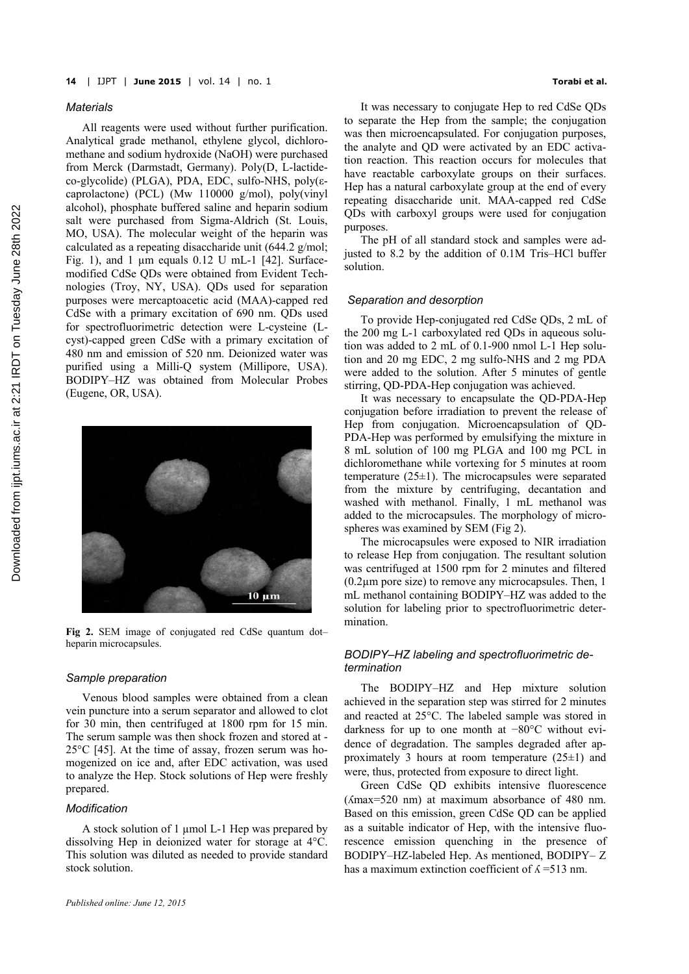#### *Materials*

All reagents were used without further purification. Analytical grade methanol, ethylene glycol, dichloromethane and sodium hydroxide (NaOH) were purchased from Merck (Darmstadt, Germany). Poly(D, L-lactideco-glycolide) (PLGA), PDA, EDC, sulfo-NHS, poly(εcaprolactone) (PCL) (Mw 110000 g/mol), poly(vinyl alcohol), phosphate buffered saline and heparin sodium salt were purchased from Sigma-Aldrich (St. Louis, MO, USA). The molecular weight of the heparin was calculated as a repeating disaccharide unit (644.2 g/mol; Fig. 1), and 1  $\mu$ m equals 0.12 U mL-1 [42]. Surfacemodified CdSe QDs were obtained from Evident Technologies (Troy, NY, USA). QDs used for separation purposes were mercaptoacetic acid (MAA)-capped red CdSe with a primary excitation of 690 nm. QDs used for spectrofluorimetric detection were L-cysteine (Lcyst)-capped green CdSe with a primary excitation of 480 nm and emission of 520 nm. Deionized water was purified using a Milli-Q system (Millipore, USA). BODIPY–HZ was obtained from Molecular Probes (Eugene, OR, USA).



**Fig 2.** SEM image of conjugated red CdSe quantum dot– heparin microcapsules.

#### *Sample preparation*

Venous blood samples were obtained from a clean vein puncture into a serum separator and allowed to clot for 30 min, then centrifuged at 1800 rpm for 15 min. The serum sample was then shock frozen and stored at - 25°C [45]. At the time of assay, frozen serum was homogenized on ice and, after EDC activation, was used to analyze the Hep. Stock solutions of Hep were freshly prepared.

#### *Modification*

A stock solution of 1 µmol L-1 Hep was prepared by dissolving Hep in deionized water for storage at 4°C. This solution was diluted as needed to provide standard stock solution.

It was necessary to conjugate Hep to red CdSe QDs to separate the Hep from the sample; the conjugation was then microencapsulated. For conjugation purposes, the analyte and QD were activated by an EDC activation reaction. This reaction occurs for molecules that have reactable carboxylate groups on their surfaces. Hep has a natural carboxylate group at the end of every repeating disaccharide unit. MAA-capped red CdSe QDs with carboxyl groups were used for conjugation purposes.

The pH of all standard stock and samples were adjusted to 8.2 by the addition of 0.1M Tris–HCl buffer solution.

#### *Separation and desorption*

To provide Hep-conjugated red CdSe QDs, 2 mL of the 200 mg L-1 carboxylated red QDs in aqueous solution was added to 2 mL of 0.1-900 nmol L-1 Hep solution and 20 mg EDC, 2 mg sulfo-NHS and 2 mg PDA were added to the solution. After 5 minutes of gentle stirring, QD-PDA-Hep conjugation was achieved.

It was necessary to encapsulate the QD-PDA-Hep conjugation before irradiation to prevent the release of Hep from conjugation. Microencapsulation of QD-PDA-Hep was performed by emulsifying the mixture in 8 mL solution of 100 mg PLGA and 100 mg PCL in dichloromethane while vortexing for 5 minutes at room temperature (25±1). The microcapsules were separated from the mixture by centrifuging, decantation and washed with methanol. Finally, 1 mL methanol was added to the microcapsules. The morphology of microspheres was examined by SEM (Fig 2).

The microcapsules were exposed to NIR irradiation to release Hep from conjugation. The resultant solution was centrifuged at 1500 rpm for 2 minutes and filtered (0.2µm pore size) to remove any microcapsules. Then, 1 mL methanol containing BODIPY–HZ was added to the solution for labeling prior to spectrofluorimetric determination.

# *BODIPY–HZ labeling and spectrofluorimetric determination*

The BODIPY–HZ and Hep mixture solution achieved in the separation step was stirred for 2 minutes and reacted at 25°C. The labeled sample was stored in darkness for up to one month at −80°C without evidence of degradation. The samples degraded after approximately 3 hours at room temperature  $(25\pm1)$  and were, thus, protected from exposure to direct light.

Green CdSe QD exhibits intensive fluorescence (ʎmax=520 nm) at maximum absorbance of 480 nm. Based on this emission, green CdSe QD can be applied as a suitable indicator of Hep, with the intensive fluorescence emission quenching in the presence of BODIPY–HZ-labeled Hep. As mentioned, BODIPY– Z has a maximum extinction coefficient of  $\lambda$  =513 nm.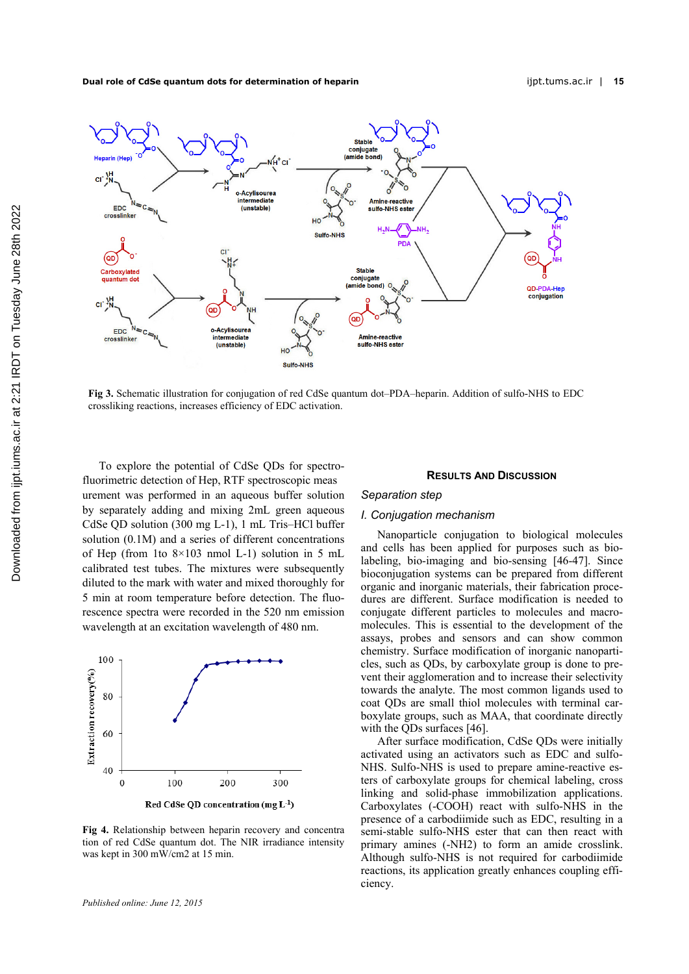**Dual role of CdSe quantum dots for determination of heparin** ijpt.tums.ac.ir | **15** 



**Fig 3.** Schematic illustration for conjugation of red CdSe quantum dot–PDA–heparin. Addition of sulfo-NHS to EDC crossliking reactions, increases efficiency of EDC activation.

To explore the potential of CdSe QDs for spectrofluorimetric detection of Hep, RTF spectroscopic meas urement was performed in an aqueous buffer solution by separately adding and mixing 2mL green aqueous CdSe QD solution (300 mg L-1), 1 mL Tris–HCl buffer solution (0.1M) and a series of different concentrations of Hep (from 1to  $8\times103$  nmol L-1) solution in 5 mL calibrated test tubes. The mixtures were subsequently diluted to the mark with water and mixed thoroughly for 5 min at room temperature before detection. The fluorescence spectra were recorded in the 520 nm emission wavelength at an excitation wavelength of 480 nm.



**Fig 4.** Relationship between heparin recovery and concentra tion of red CdSe quantum dot. The NIR irradiance intensity was kept in 300 mW/cm2 at 15 min.

#### **RESULTS AND DISCUSSION**

### *Separation step*

# *I. Conjugation mechanism*

Nanoparticle conjugation to biological molecules and cells has been applied for purposes such as biolabeling, bio-imaging and bio-sensing [46-47]. Since bioconjugation systems can be prepared from different organic and inorganic materials, their fabrication procedures are different. Surface modification is needed to conjugate different particles to molecules and macromolecules. This is essential to the development of the assays, probes and sensors and can show common chemistry. Surface modification of inorganic nanoparticles, such as QDs, by carboxylate group is done to prevent their agglomeration and to increase their selectivity towards the analyte. The most common ligands used to coat QDs are small thiol molecules with terminal carboxylate groups, such as MAA, that coordinate directly with the QDs surfaces [46].

After surface modification, CdSe QDs were initially activated using an activators such as EDC and sulfo-NHS. Sulfo-NHS is used to prepare amine-reactive esters of carboxylate groups for chemical labeling, cross linking and solid-phase immobilization applications. Carboxylates (-COOH) react with sulfo-NHS in the presence of a carbodiimide such as EDC, resulting in a semi-stable sulfo-NHS ester that can then react with primary amines (-NH2) to form an amide crosslink. Although sulfo-NHS is not required for carbodiimide reactions, its application greatly enhances coupling efficiency.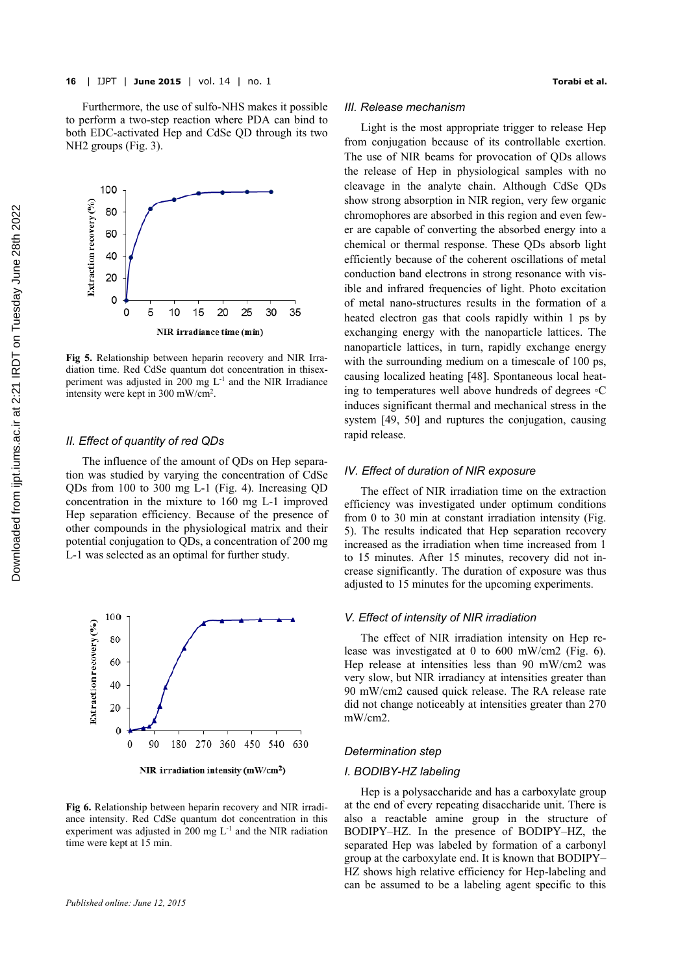NH2 groups (Fig. 3).



**Fig 5.** Relationship between heparin recovery and NIR Irradiation time. Red CdSe quantum dot concentration in thisexperiment was adjusted in 200 mg  $L^{-1}$  and the NIR Irradiance intensity were kept in 300 mW/cm2.

# *II. Effect of quantity of red QDs*

The influence of the amount of QDs on Hep separation was studied by varying the concentration of CdSe QDs from 100 to 300 mg L-1 (Fig. 4). Increasing QD concentration in the mixture to 160 mg L-1 improved Hep separation efficiency. Because of the presence of other compounds in the physiological matrix and their potential conjugation to QDs, a concentration of 200 mg L-1 was selected as an optimal for further study.



NIR irradiation intensity ( $mW/cm<sup>2</sup>$ )

**Fig 6.** Relationship between heparin recovery and NIR irradiance intensity. Red CdSe quantum dot concentration in this experiment was adjusted in  $200 \text{ mg } L^{-1}$  and the NIR radiation time were kept at 15 min.

#### *III. Release mechanism*

Light is the most appropriate trigger to release Hep from conjugation because of its controllable exertion. The use of NIR beams for provocation of QDs allows the release of Hep in physiological samples with no cleavage in the analyte chain. Although CdSe QDs show strong absorption in NIR region, very few organic chromophores are absorbed in this region and even fewer are capable of converting the absorbed energy into a chemical or thermal response. These QDs absorb light efficiently because of the coherent oscillations of metal conduction band electrons in strong resonance with visible and infrared frequencies of light. Photo excitation of metal nano-structures results in the formation of a heated electron gas that cools rapidly within 1 ps by exchanging energy with the nanoparticle lattices. The nanoparticle lattices, in turn, rapidly exchange energy with the surrounding medium on a timescale of 100 ps, causing localized heating [48]. Spontaneous local heating to temperatures well above hundreds of degrees ◦C induces significant thermal and mechanical stress in the system [49, 50] and ruptures the conjugation, causing rapid release.

#### *IV. Effect of duration of NIR exposure*

The effect of NIR irradiation time on the extraction efficiency was investigated under optimum conditions from 0 to 30 min at constant irradiation intensity (Fig. 5). The results indicated that Hep separation recovery increased as the irradiation when time increased from 1 to 15 minutes. After 15 minutes, recovery did not increase significantly. The duration of exposure was thus adjusted to 15 minutes for the upcoming experiments.

### *V. Effect of intensity of NIR irradiation*

The effect of NIR irradiation intensity on Hep release was investigated at 0 to 600 mW/cm2 (Fig. 6). Hep release at intensities less than 90 mW/cm2 was very slow, but NIR irradiancy at intensities greater than 90 mW/cm2 caused quick release. The RA release rate did not change noticeably at intensities greater than 270 mW/cm2.

# *Determination step*

### *I. BODIBY-HZ labeling*

Hep is a polysaccharide and has a carboxylate group at the end of every repeating disaccharide unit. There is also a reactable amine group in the structure of BODIPY–HZ. In the presence of BODIPY–HZ, the separated Hep was labeled by formation of a carbonyl group at the carboxylate end. It is known that BODIPY– HZ shows high relative efficiency for Hep-labeling and can be assumed to be a labeling agent specific to this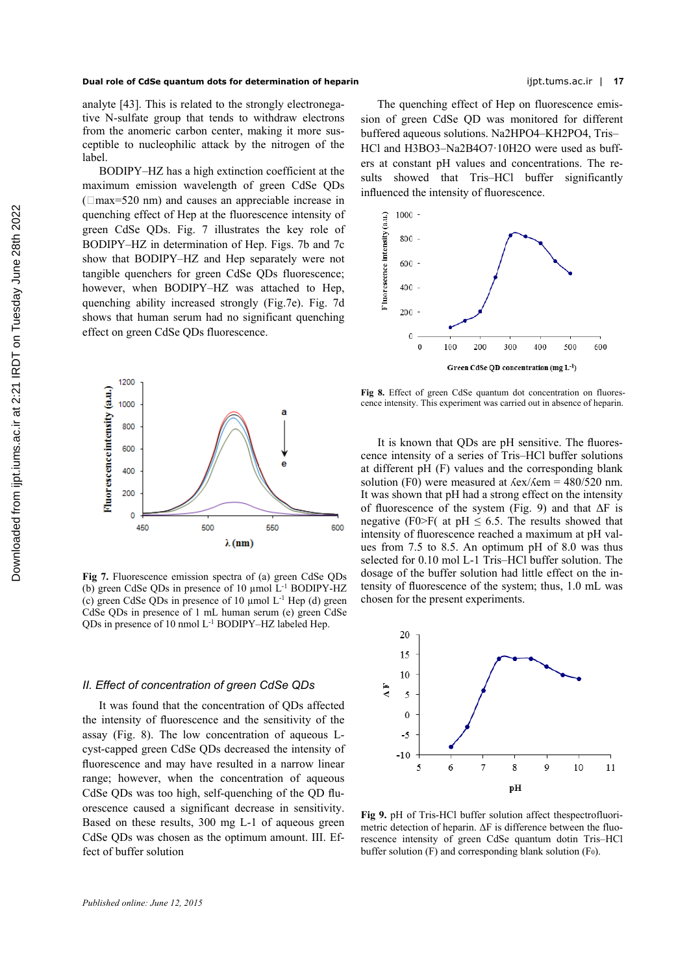analyte [43]. This is related to the strongly electronegative N-sulfate group that tends to withdraw electrons from the anomeric carbon center, making it more susceptible to nucleophilic attack by the nitrogen of the label.

BODIPY–HZ has a high extinction coefficient at the maximum emission wavelength of green CdSe QDs  $(\Box max = 520 \text{ nm})$  and causes an appreciable increase in quenching effect of Hep at the fluorescence intensity of green CdSe QDs. Fig. 7 illustrates the key role of BODIPY–HZ in determination of Hep. Figs. 7b and 7c show that BODIPY–HZ and Hep separately were not tangible quenchers for green CdSe QDs fluorescence; however, when BODIPY–HZ was attached to Hep, quenching ability increased strongly (Fig.7e). Fig. 7d shows that human serum had no significant quenching effect on green CdSe QDs fluorescence.



**Fig 7.** Fluorescence emission spectra of (a) green CdSe QDs (b) green CdSe QDs in presence of 10  $\mu$ mol L<sup>-1</sup> BODIPY-HZ (c) green CdSe QDs in presence of  $10 \mu$ mol L<sup>-1</sup> Hep (d) green CdSe QDs in presence of 1 mL human serum (e) green CdSe QDs in presence of 10 nmol L-1 BODIPY–HZ labeled Hep.

#### *II. Effect of concentration of green CdSe QDs*

It was found that the concentration of QDs affected the intensity of fluorescence and the sensitivity of the assay (Fig. 8). The low concentration of aqueous Lcyst-capped green CdSe QDs decreased the intensity of fluorescence and may have resulted in a narrow linear range; however, when the concentration of aqueous CdSe QDs was too high, self-quenching of the QD fluorescence caused a significant decrease in sensitivity. Based on these results, 300 mg L-1 of aqueous green CdSe QDs was chosen as the optimum amount. III. Effect of buffer solution

The quenching effect of Hep on fluorescence emission of green CdSe QD was monitored for different buffered aqueous solutions. Na2HPO4–KH2PO4, Tris– HCl and H3BO3–Na2B4O7·10H2O were used as buffers at constant pH values and concentrations. The results showed that Tris–HCl buffer significantly influenced the intensity of fluorescence.



**Fig 8.** Effect of green CdSe quantum dot concentration on fluorescence intensity. This experiment was carried out in absence of heparin.

It is known that QDs are pH sensitive. The fluorescence intensity of a series of Tris–HCl buffer solutions at different pH (F) values and the corresponding blank solution (F0) were measured at  $\frac{\text{Aex}}{\text{Aem}} = 480/520 \text{ nm}$ . It was shown that pH had a strong effect on the intensity of fluorescence of the system (Fig. 9) and that  $\Delta F$  is negative (F0>F( at pH  $\leq$  6.5. The results showed that intensity of fluorescence reached a maximum at pH values from 7.5 to 8.5. An optimum pH of 8.0 was thus selected for 0.10 mol L-1 Tris–HCl buffer solution. The dosage of the buffer solution had little effect on the intensity of fluorescence of the system; thus, 1.0 mL was chosen for the present experiments.



**Fig 9.** pH of Tris-HCl buffer solution affect thespectrofluorimetric detection of heparin. ΔF is difference between the fluorescence intensity of green CdSe quantum dotin Tris–HCl buffer solution  $(F)$  and corresponding blank solution  $(F_0)$ .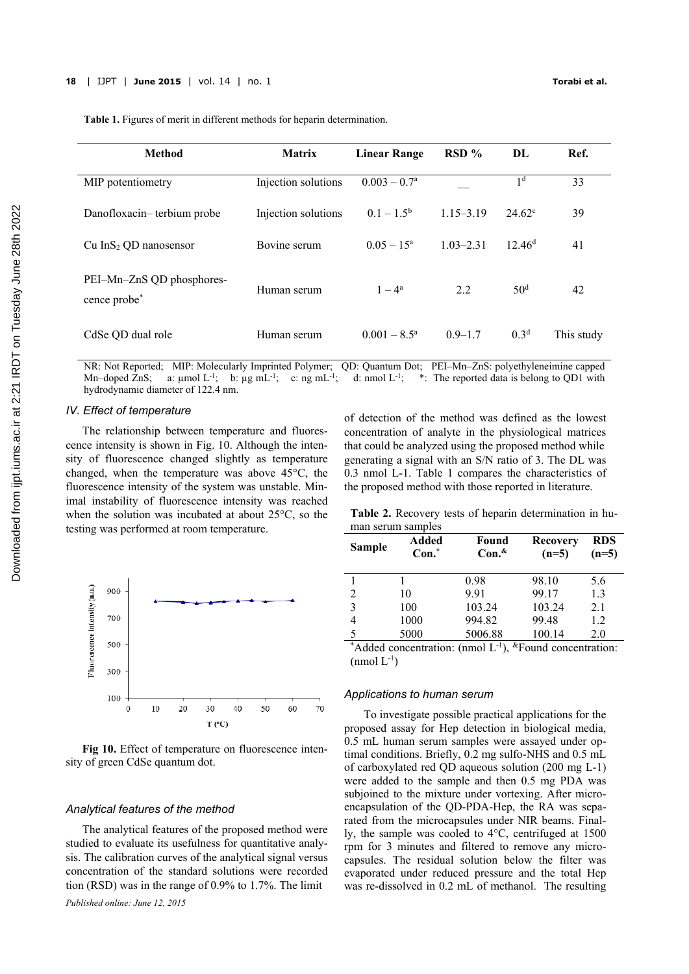| <b>Method</b>                             | <b>Matrix</b>       | <b>Linear Range</b>   | RSD %         | DL                 | Ref.       |
|-------------------------------------------|---------------------|-----------------------|---------------|--------------------|------------|
| MIP potentiometry                         | Injection solutions | $0.003 - 0.7a$        |               | 1 <sup>d</sup>     | 33         |
| Danofloxacin-terbium probe                | Injection solutions | $0.1-1.5^{b}$         | $1.15 - 3.19$ | $24.62^{\circ}$    | 39         |
| Cu InS <sub>2</sub> QD nanosensor         | Bovine serum        | $0.05 - 15^{\circ}$   | $1.03 - 2.31$ | 12.46 <sup>d</sup> | 41         |
| PEI-Mn-ZnS QD phosphores-<br>cence probe* | Human serum         | $1 - 4^a$             | 2.2           | 50 <sup>d</sup>    | 42         |
| CdSe QD dual role                         | Human serum         | $0.001 - 8.5^{\circ}$ | $0.9 - 1.7$   | 0.3 <sup>d</sup>   | This study |

**Table 1.** Figures of merit in different methods for heparin determination.

NR: Not Reported; MIP: Molecularly Imprinted Polymer; QD: Quantum Dot; PEI–Mn–ZnS: polyethyleneimine capped Mn–doped ZnS; a:  $\mu$ mol L<sup>-1</sup>; b:  $\mu$ g mL<sup>-1</sup>; c: ng mL<sup>-1</sup>; d: nmol L<sup>-1</sup>; \*: The reported data is belong to QD1 with hydrodynamic diameter of 122.4 nm.

# *IV. Effect of temperature*

The relationship between temperature and fluorescence intensity is shown in Fig. 10. Although the intensity of fluorescence changed slightly as temperature changed, when the temperature was above 45°C, the fluorescence intensity of the system was unstable. Minimal instability of fluorescence intensity was reached when the solution was incubated at about 25°C, so the testing was performed at room temperature.



**Fig 10.** Effect of temperature on fluorescence intensity of green CdSe quantum dot.

#### *Analytical features of the method*

The analytical features of the proposed method were studied to evaluate its usefulness for quantitative analysis. The calibration curves of the analytical signal versus concentration of the standard solutions were recorded tion (RSD) was in the range of 0.9% to 1.7%. The limit

of detection of the method was defined as the lowest concentration of analyte in the physiological matrices that could be analyzed using the proposed method while generating a signal with an S/N ratio of 3. The DL was 0.3 nmol L-1. Table 1 compares the characteristics of the proposed method with those reported in literature.

**Table 2.** Recovery tests of heparin determination in human serum samples

| <b>Sample</b>  | Added<br>$Con.$ * | Found<br>Con. <sup>&amp;</sup> | <b>Recovery</b><br>$(n=5)$ | <b>RDS</b><br>$(n=5)$ |
|----------------|-------------------|--------------------------------|----------------------------|-----------------------|
|                |                   | 0.98                           | 98.10                      | 5.6                   |
| $\overline{2}$ | 10                | 9.91                           | 99.17                      | 1.3                   |
| 3              | 100               | 103.24                         | 103.24                     | 2.1                   |
| 4              | 1000              | 994.82                         | 99.48                      | 1.2                   |
|                | 5000              | 5006.88                        | 100.14                     | 2.0                   |

\*Added concentration: (nmol  $L^{-1}$ ), \*Found concentration:  $(nmol L^{-1})$ 

#### *Applications to human serum*

 To investigate possible practical applications for the proposed assay for Hep detection in biological media, 0.5 mL human serum samples were assayed under optimal conditions. Briefly, 0.2 mg sulfo-NHS and 0.5 mL of carboxylated red QD aqueous solution (200 mg L-1) were added to the sample and then 0.5 mg PDA was subjoined to the mixture under vortexing. After microencapsulation of the QD-PDA-Hep, the RA was separated from the microcapsules under NIR beams. Finally, the sample was cooled to 4°C, centrifuged at 1500 rpm for 3 minutes and filtered to remove any microcapsules. The residual solution below the filter was evaporated under reduced pressure and the total Hep was re-dissolved in 0.2 mL of methanol. The resulting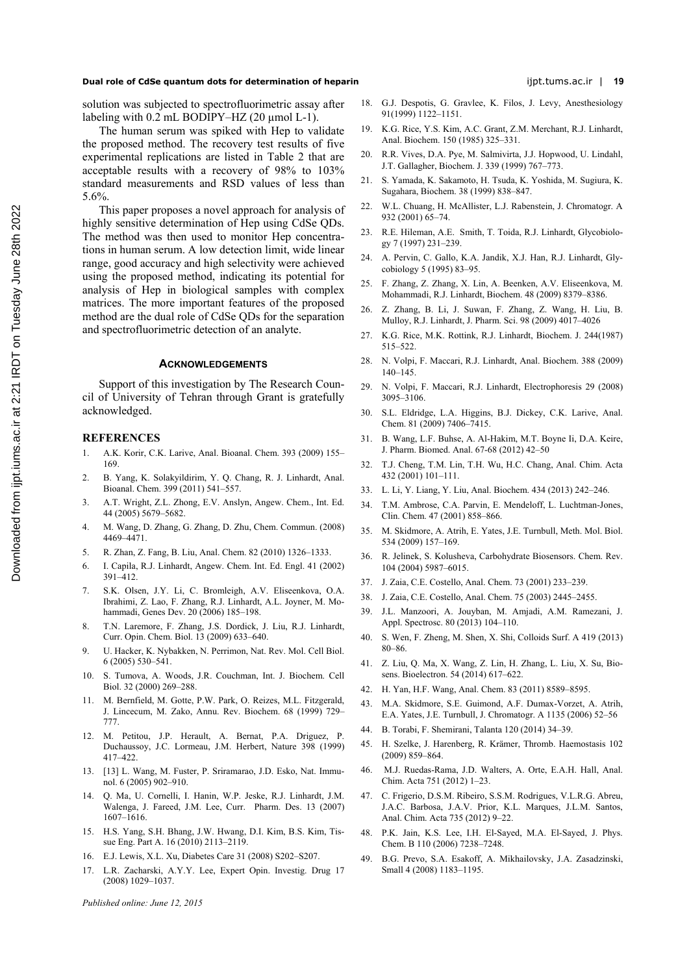#### **Dual role of CdSe quantum dots for determination of heparin** ijpt.tums.ac.ir | **19**

solution was subjected to spectrofluorimetric assay after labeling with 0.2 mL BODIPY–HZ (20 µmol L-1).

The human serum was spiked with Hep to validate the proposed method. The recovery test results of five experimental replications are listed in Table 2 that are acceptable results with a recovery of 98% to 103% standard measurements and RSD values of less than 5.6%.

This paper proposes a novel approach for analysis of highly sensitive determination of Hep using CdSe QDs. The method was then used to monitor Hep concentrations in human serum. A low detection limit, wide linear range, good accuracy and high selectivity were achieved using the proposed method, indicating its potential for analysis of Hep in biological samples with complex matrices. The more important features of the proposed method are the dual role of CdSe QDs for the separation and spectrofluorimetric detection of an analyte.

#### **ACKNOWLEDGEMENTS**

Support of this investigation by The Research Council of University of Tehran through Grant is gratefully acknowledged.

# **REFERENCES**

- 1. A.K. Korir, C.K. Larive, Anal. Bioanal. Chem. 393 (2009) 155– 169.
- 2. B. Yang, K. Solakyildirim, Y. Q. Chang, R. J. Linhardt, Anal. Bioanal. Chem. 399 (2011) 541–557.
- 3. A.T. Wright, Z.L. Zhong, E.V. Anslyn, Angew. Chem., Int. Ed. 44 (2005) 5679–5682.
- 4. M. Wang, D. Zhang, G. Zhang, D. Zhu, Chem. Commun. (2008) 4469–4471.
- 5. R. Zhan, Z. Fang, B. Liu, Anal. Chem. 82 (2010) 1326–1333.
- 6. I. Capila, R.J. Linhardt, Angew. Chem. Int. Ed. Engl. 41 (2002) 391–412.
- 7. S.K. Olsen, J.Y. Li, C. Bromleigh, A.V. Eliseenkova, O.A. Ibrahimi, Z. Lao, F. Zhang, R.J. Linhardt, A.L. Joyner, M. Mohammadi, Genes Dev. 20 (2006) 185–198.
- 8. T.N. Laremore, F. Zhang, J.S. Dordick, J. Liu, R.J. Linhardt, Curr. Opin. Chem. Biol. 13 (2009) 633–640.
- 9. U. Hacker, K. Nybakken, N. Perrimon, Nat. Rev. Mol. Cell Biol. 6 (2005) 530–541.
- 10. S. Tumova, A. Woods, J.R. Couchman, Int. J. Biochem. Cell Biol. 32 (2000) 269–288.
- 11. M. Bernfield, M. Gotte, P.W. Park, O. Reizes, M.L. Fitzgerald, J. Lincecum, M. Zako, Annu. Rev. Biochem. 68 (1999) 729– 777.
- 12. M. Petitou, J.P. Herault, A. Bernat, P.A. Driguez, P. Duchaussoy, J.C. Lormeau, J.M. Herbert, Nature 398 (1999) 417–422.
- 13. [13] L. Wang, M. Fuster, P. Sriramarao, J.D. Esko, Nat. Immunol. 6 (2005) 902–910.
- 14. Q. Ma, U. Cornelli, I. Hanin, W.P. Jeske, R.J. Linhardt, J.M. Walenga, J. Fareed, J.M. Lee, Curr. Pharm. Des. 13 (2007) 1607–1616.
- 15. H.S. Yang, S.H. Bhang, J.W. Hwang, D.I. Kim, B.S. Kim, Tissue Eng. Part A. 16 (2010) 2113–2119.
- 16. E.J. Lewis, X.L. Xu, Diabetes Care 31 (2008) S202–S207.
- 17. L.R. Zacharski, A.Y.Y. Lee, Expert Opin. Investig. Drug 17 (2008) 1029–1037.
- *Published online: June 12, 2015*
- 18. G.J. Despotis, G. Gravlee, K. Filos, J. Levy, Anesthesiology 91(1999) 1122–1151.
- 19. K.G. Rice, Y.S. Kim, A.C. Grant, Z.M. Merchant, R.J. Linhardt, Anal. Biochem. 150 (1985) 325–331.
- 20. R.R. Vives, D.A. Pye, M. Salmivirta, J.J. Hopwood, U. Lindahl, J.T. Gallagher, Biochem. J. 339 (1999) 767–773.
- 21. S. Yamada, K. Sakamoto, H. Tsuda, K. Yoshida, M. Sugiura, K. Sugahara, Biochem. 38 (1999) 838–847.
- 22. W.L. Chuang, H. McAllister, L.J. Rabenstein, J. Chromatogr. A 932 (2001) 65–74.
- 23. R.E. Hileman, A.E. Smith, T. Toida, R.J. Linhardt, Glycobiology 7 (1997) 231–239.
- 24. A. Pervin, C. Gallo, K.A. Jandik, X.J. Han, R.J. Linhardt, Glycobiology 5 (1995) 83–95.
- 25. F. Zhang, Z. Zhang, X. Lin, A. Beenken, A.V. Eliseenkova, M. Mohammadi, R.J. Linhardt, Biochem. 48 (2009) 8379–8386.
- 26. Z. Zhang, B. Li, J. Suwan, F. Zhang, Z. Wang, H. Liu, B. Mulloy, R.J. Linhardt, J. Pharm. Sci. 98 (2009) 4017–4026
- 27. K.G. Rice, M.K. Rottink, R.J. Linhardt, Biochem. J. 244(1987) 515–522.
- 28. N. Volpi, F. Maccari, R.J. Linhardt, Anal. Biochem. 388 (2009) 140–145.
- 29. N. Volpi, F. Maccari, R.J. Linhardt, Electrophoresis 29 (2008) 3095–3106.
- 30. S.L. Eldridge, L.A. Higgins, B.J. Dickey, C.K. Larive, Anal. Chem. 81 (2009) 7406–7415.
- 31. B. Wang, L.F. Buhse, A. Al-Hakim, M.T. Boyne Ii, D.A. Keire, J. Pharm. Biomed. Anal. 67-68 (2012) 42–50
- 32. T.J. Cheng, T.M. Lin, T.H. Wu, H.C. Chang, Anal. Chim. Acta 432 (2001) 101–111.
- 33. L. Li, Y. Liang, Y. Liu, Anal. Biochem. 434 (2013) 242–246.
- 34. T.M. Ambrose, C.A. Parvin, E. Mendeloff, L. Luchtman-Jones, Clin. Chem. 47 (2001) 858–866.
- 35. M. Skidmore, A. Atrih, E. Yates, J.E. Turnbull, Meth. Mol. Biol. 534 (2009) 157–169.
- 36. R. Jelinek, S. Kolusheva, Carbohydrate Biosensors. Chem. Rev. 104 (2004) 5987–6015.
- 37. J. Zaia, C.E. Costello, Anal. Chem. 73 (2001) 233–239.
- 38. J. Zaia, C.E. Costello, Anal. Chem. 75 (2003) 2445–2455.
- 39. J.L. Manzoori, A. Jouyban, M. Amjadi, A.M. Ramezani, J. Appl. Spectrosc. 80 (2013) 104–110.
- 40. S. Wen, F. Zheng, M. Shen, X. Shi, Colloids Surf. A 419 (2013) 80–86.
- 41. Z. Liu, Q. Ma, X. Wang, Z. Lin, H. Zhang, L. Liu, X. Su, Biosens. Bioelectron. 54 (2014) 617–622.
- 42. H. Yan, H.F. Wang, Anal. Chem. 83 (2011) 8589–8595.
- 43. M.A. Skidmore, S.E. Guimond, A.F. Dumax-Vorzet, A. Atrih, E.A. Yates, J.E. Turnbull, J. Chromatogr. A 1135 (2006) 52–56
- 44. B. Torabi, F. Shemirani, Talanta 120 (2014) 34–39.
- 45. H. Szelke, J. Harenberg, R. Krämer, Thromb. Haemostasis 102 (2009) 859–864.
- 46. M.J. Ruedas-Rama, J.D. Walters, A. Orte, E.A.H. Hall, Anal. Chim. Acta 751 (2012) 1–23.
- 47. C. Frigerio, D.S.M. Ribeiro, S.S.M. Rodrigues, V.L.R.G. Abreu, J.A.C. Barbosa, J.A.V. Prior, K.L. Marques, J.L.M. Santos, Anal. Chim. Acta 735 (2012) 9–22.
- 48. P.K. Jain, K.S. Lee, I.H. El-Sayed, M.A. El-Sayed, J. Phys. Chem. B 110 (2006) 7238–7248.
- 49. B.G. Prevo, S.A. Esakoff, A. Mikhailovsky, J.A. Zasadzinski, Small 4 (2008) 1183–1195.